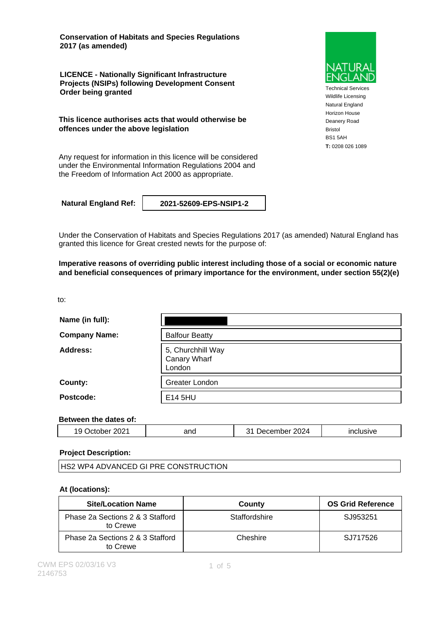**Conservation of Habitats and Species Regulations 2017 (as amended)**

**LICENCE - Nationally Significant Infrastructure Projects (NSIPs) following Development Consent Order being granted**

**This licence authorises acts that would otherwise be offences under the above legislation**

Any request for information in this licence will be considered under the Environmental Information Regulations 2004 and the Freedom of Information Act 2000 as appropriate.

**Natural England Ref: 2021-52609-EPS-NSIP1-2**

Under the Conservation of Habitats and Species Regulations 2017 (as amended) Natural England has granted this licence for Great crested newts for the purpose of:

**Imperative reasons of overriding public interest including those of a social or economic nature and beneficial consequences of primary importance for the environment, under section 55(2)(e)**

| to:                  |                                             |
|----------------------|---------------------------------------------|
| Name (in full):      |                                             |
| <b>Company Name:</b> | <b>Balfour Beatty</b>                       |
| Address:             | 5, Churchhill Way<br>Canary Wharf<br>London |
| County:              | Greater London                              |
| Postcode:            | E14 5HU                                     |

### **Between the dates of:**

|  | 2021<br>.<br>ີ | ano | 2024<br>- - -<br>me<br>-- | . |
|--|----------------|-----|---------------------------|---|
|--|----------------|-----|---------------------------|---|

#### **Project Description:**

| <b>HS2 WP4 ADVANCED GI PRE CONSTRUCTION</b> |  |
|---------------------------------------------|--|
|                                             |  |

### **At (locations):**

| <b>Site/Location Name</b>                    | County        | <b>OS Grid Reference</b> |
|----------------------------------------------|---------------|--------------------------|
| Phase 2a Sections 2 & 3 Stafford<br>to Crewe | Staffordshire | SJ953251                 |
| Phase 2a Sections 2 & 3 Stafford<br>to Crewe | Cheshire      | SJ717526                 |



Technical Services Wildlife Licensing Natural England Horizon House Deanery Road Bristol BS1 5AH **T:** 0208 026 1089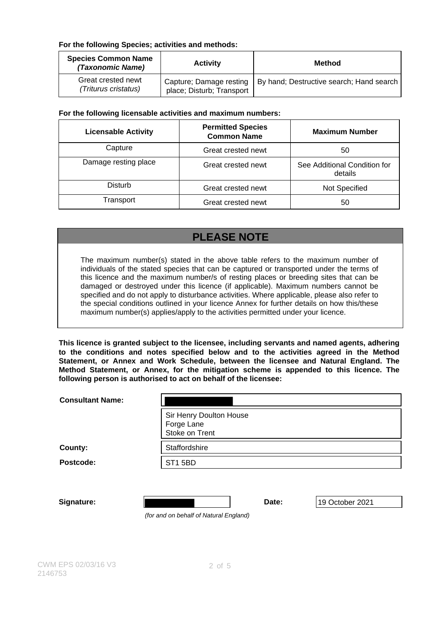### **For the following Species; activities and methods:**

| <b>Species Common Name</b><br>(Taxonomic Name) | <b>Activity</b>                                      | <b>Method</b>                            |
|------------------------------------------------|------------------------------------------------------|------------------------------------------|
| Great crested newt<br>(Triturus cristatus)     | Capture; Damage resting<br>place; Disturb; Transport | By hand; Destructive search; Hand search |

### **For the following licensable activities and maximum numbers:**

| <b>Licensable Activity</b> | <b>Permitted Species</b><br><b>Common Name</b> | <b>Maximum Number</b>                   |
|----------------------------|------------------------------------------------|-----------------------------------------|
| Capture                    | Great crested newt                             | 50                                      |
| Damage resting place       | Great crested newt                             | See Additional Condition for<br>details |
| Disturb                    | Great crested newt                             | Not Specified                           |
| Transport                  | Great crested newt                             | 50                                      |

# **PLEASE NOTE**

The maximum number(s) stated in the above table refers to the maximum number of individuals of the stated species that can be captured or transported under the terms of this licence and the maximum number/s of resting places or breeding sites that can be damaged or destroyed under this licence (if applicable). Maximum numbers cannot be specified and do not apply to disturbance activities. Where applicable, please also refer to the special conditions outlined in your licence Annex for further details on how this/these maximum number(s) applies/apply to the activities permitted under your licence.

**This licence is granted subject to the licensee, including servants and named agents, adhering to the conditions and notes specified below and to the activities agreed in the Method Statement, or Annex and Work Schedule, between the licensee and Natural England. The Method Statement, or Annex, for the mitigation scheme is appended to this licence. The following person is authorised to act on behalf of the licensee:**

| <b>Consultant Name:</b> |                                                         |       |                 |
|-------------------------|---------------------------------------------------------|-------|-----------------|
|                         | Sir Henry Doulton House<br>Forge Lane<br>Stoke on Trent |       |                 |
| County:                 | Staffordshire                                           |       |                 |
| Postcode:               | <b>ST1 5BD</b>                                          |       |                 |
| Signature:              | (for and on behalf of Natural England)                  | Date: | 19 October 2021 |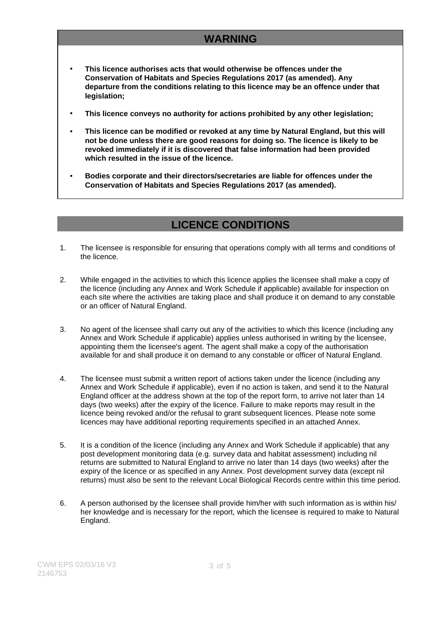# **WARNING**

- **This licence authorises acts that would otherwise be offences under the Conservation of Habitats and Species Regulations 2017 (as amended). Any departure from the conditions relating to this licence may be an offence under that legislation;**
- **This licence conveys no authority for actions prohibited by any other legislation;**
- **This licence can be modified or revoked at any time by Natural England, but this will not be done unless there are good reasons for doing so. The licence is likely to be revoked immediately if it is discovered that false information had been provided which resulted in the issue of the licence.**
- **Bodies corporate and their directors/secretaries are liable for offences under the Conservation of Habitats and Species Regulations 2017 (as amended).**

### **LICENCE CONDITIONS**

- 1. The licensee is responsible for ensuring that operations comply with all terms and conditions of the licence.
- 2. While engaged in the activities to which this licence applies the licensee shall make a copy of the licence (including any Annex and Work Schedule if applicable) available for inspection on each site where the activities are taking place and shall produce it on demand to any constable or an officer of Natural England.
- 3. No agent of the licensee shall carry out any of the activities to which this licence (including any Annex and Work Schedule if applicable) applies unless authorised in writing by the licensee, appointing them the licensee's agent. The agent shall make a copy of the authorisation available for and shall produce it on demand to any constable or officer of Natural England.
- 4. The licensee must submit a written report of actions taken under the licence (including any Annex and Work Schedule if applicable), even if no action is taken, and send it to the Natural England officer at the address shown at the top of the report form, to arrive not later than 14 days (two weeks) after the expiry of the licence. Failure to make reports may result in the licence being revoked and/or the refusal to grant subsequent licences. Please note some licences may have additional reporting requirements specified in an attached Annex.
- 5. It is a condition of the licence (including any Annex and Work Schedule if applicable) that any post development monitoring data (e.g. survey data and habitat assessment) including nil returns are submitted to Natural England to arrive no later than 14 days (two weeks) after the expiry of the licence or as specified in any Annex. Post development survey data (except nil returns) must also be sent to the relevant Local Biological Records centre within this time period.
- 6. A person authorised by the licensee shall provide him/her with such information as is within his/ her knowledge and is necessary for the report, which the licensee is required to make to Natural England.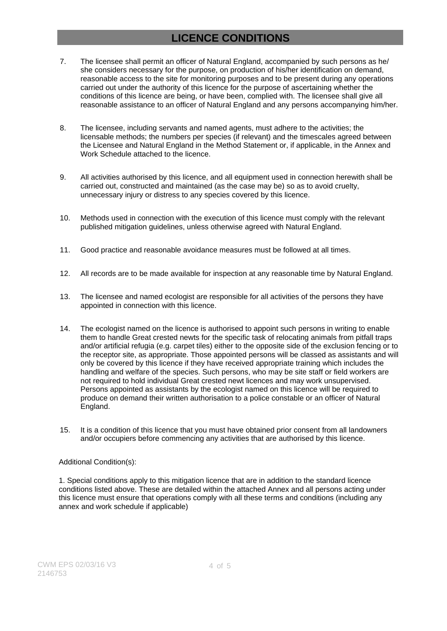## **LICENCE CONDITIONS**

- 7. The licensee shall permit an officer of Natural England, accompanied by such persons as he/ she considers necessary for the purpose, on production of his/her identification on demand, reasonable access to the site for monitoring purposes and to be present during any operations carried out under the authority of this licence for the purpose of ascertaining whether the conditions of this licence are being, or have been, complied with. The licensee shall give all reasonable assistance to an officer of Natural England and any persons accompanying him/her.
- 8. The licensee, including servants and named agents, must adhere to the activities; the licensable methods; the numbers per species (if relevant) and the timescales agreed between the Licensee and Natural England in the Method Statement or, if applicable, in the Annex and Work Schedule attached to the licence.
- 9. All activities authorised by this licence, and all equipment used in connection herewith shall be carried out, constructed and maintained (as the case may be) so as to avoid cruelty, unnecessary injury or distress to any species covered by this licence.
- 10. Methods used in connection with the execution of this licence must comply with the relevant published mitigation guidelines, unless otherwise agreed with Natural England.
- 11. Good practice and reasonable avoidance measures must be followed at all times.
- 12. All records are to be made available for inspection at any reasonable time by Natural England.
- 13. The licensee and named ecologist are responsible for all activities of the persons they have appointed in connection with this licence.
- 14. The ecologist named on the licence is authorised to appoint such persons in writing to enable them to handle Great crested newts for the specific task of relocating animals from pitfall traps and/or artificial refugia (e.g. carpet tiles) either to the opposite side of the exclusion fencing or to the receptor site, as appropriate. Those appointed persons will be classed as assistants and will only be covered by this licence if they have received appropriate training which includes the handling and welfare of the species. Such persons, who may be site staff or field workers are not required to hold individual Great crested newt licences and may work unsupervised. Persons appointed as assistants by the ecologist named on this licence will be required to produce on demand their written authorisation to a police constable or an officer of Natural England.
- 15. It is a condition of this licence that you must have obtained prior consent from all landowners and/or occupiers before commencing any activities that are authorised by this licence.

#### Additional Condition(s):

1. Special conditions apply to this mitigation licence that are in addition to the standard licence conditions listed above. These are detailed within the attached Annex and all persons acting under this licence must ensure that operations comply with all these terms and conditions (including any annex and work schedule if applicable)